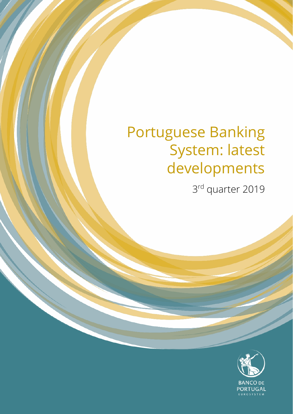# Portuguese Banking System: latest developments

3rd quarter 2019

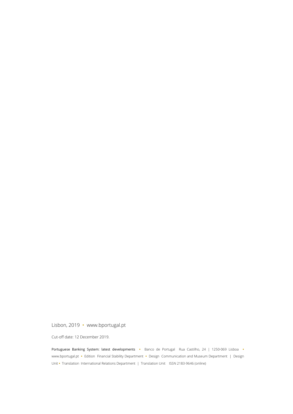Lisbon, 2019 • www.bportugal.pt

Cut-off date: 12 December 2019.

Portuguese Banking System: latest developments **•** Banco de Portugal Rua Castilho, 24 | 1250-069 Lisboa **•** www.bportugal.pt **•** Edition Financial Stability Department **•** Design Communication and Museum Department | Design Unit **•** Translation International Relations Department | Translation Unit ISSN 2183-9646 (online)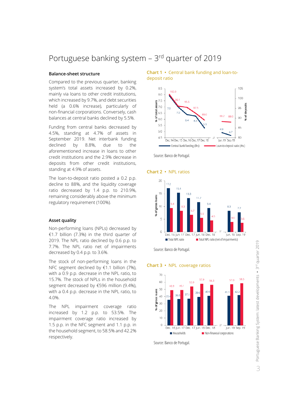# Portuguese banking system - 3rd quarter of 2019

## **Balance-sheet structure**

Compared to the previous quarter, banking system's total assets increased by 0.2%, mainly via loans to other credit institutions, which increased by 9.7%, and debt securities held (a 0.6% increase), particularly of non-financial corporations. Conversely, cash balances at central banks declined by 5.5%.

Funding from central banks decreased by 4.5%, standing at 4.7% of assets in September 2019. Net interbank funding declined by 8.8%, due to the aforementioned increase in loans to other credit institutions and the 2.9% decrease in deposits from other credit institutions, standing at 4.9% of assets.

The loan-to-deposit ratio posted a 0.2 p.p. decline to 88%, and the liquidity coverage ratio decreased by 1.4 p.p. to 210.9%, remaining considerably above the minimum regulatory requirement (100%).

### **Asset quality**

Non-performing loans (NPLs) decreased by €1.7 billion (7.3%) in the third quarter of 2019. The NPL ratio declined by 0.6 p.p. to 7.7%. The NPL ratio net of impairments decreased by 0.4 p.p. to 3.6%.

The stock of non-performing loans in the NFC segment declined by €1.1 billion (7%), with a 0.9 p.p. decrease in the NPL ratio, to 15.7%. The stock of NPLs in the household segment decreased by €596 million (9.4%), with a 0.4 p.p. decrease in the NPL ratio, to 4.0%.

The NPL impairment coverage ratio increased by 1.2 p.p. to 53.5%. The impairment coverage ratio increased by 1.5 p.p. in the NFC segment and 1.1 p.p. in the household segment, to 58.5% and 42.2% respectively.

**Chart 1 •** Central bank funding and loan-todeposit ratio









Source: Banco de Portugal.

**Chart 3 •** NPL coverage ratios



Source: Banco de Portugal.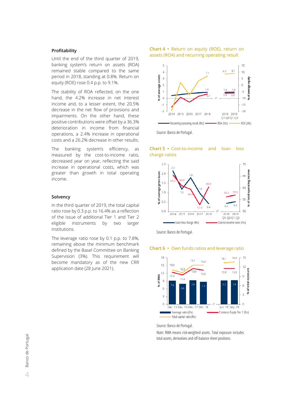# **Profitability**

Until the end of the third quarter of 2019, banking system's return on assets (ROA) remained stable compared to the same period in 2018, standing at 0.8%. Return on equity (ROE) rose 0.4 p.p. to 9.1%.

The stability of ROA reflected, on the one hand, the 4.2% increase in net interest income and, to a lesser extent, the 20.5% decrease in the net flow of provisions and impairments. On the other hand, these positive contributions were offset by a 36.3% deterioration in income from financial operations, a 2.4% increase in operational costs and a 26.2% decrease in other results.

The banking system's efficiency, as measured by the cost-to-income ratio, decreased year on year, reflecting the said increase in operational costs, which was greater than growth in total operating income.

# **Solvency**

In the third quarter of 2019, the total capital ratio rose by 0.3 p.p. to 16.4% as a reflection of the issue of additional Tier 1 and Tier 2 eligible instruments by two larger institutions.

The leverage ratio rose by 0.1 p.p. to 7.8%, remaining above the minimum benchmark defined by the Basel Committee on Banking Supervision (3%). This requirement will become mandatory as of the new CRR application date (28 June 2021).

### **Chart 4 •** Return on equity (ROE), return on assets (ROA) and recurring operating result



### **Chart 5 •** Cost-to-income and loan loss charge ratios



Source: Banco de Portugal.





Source: Banco de Portugal.

Note: RWA means risk-weighted assets. Total exposure includes total assets, derivatives and off-balance sheet positions.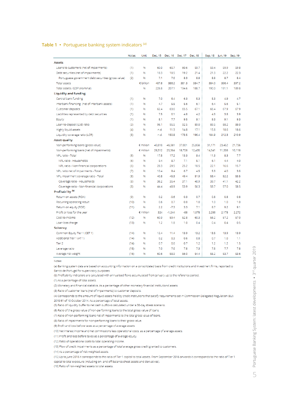# Table 1 • Portuguese banking system indicators (a)

|                                                     | <b>Notes</b> | Unit      | Dec. 15 | Dec. 16 Dec. 17 |        | Dec. 18 | Sep. 18 | Jun. 19 | Sep. 19 |
|-----------------------------------------------------|--------------|-----------|---------|-----------------|--------|---------|---------|---------|---------|
| <b>Assets</b>                                       |              |           |         |                 |        |         |         |         |         |
| Loans to customers (net of impairments)             | (1)          | 96        | 60.0    | 60.7            | 60.6   | 59.7    | 59.4    | 59.9    | 59.8    |
| Debt securities (net of impairments)                | (1)          | 96        | 18.3    | 18.5            | 19.2   | 21.4    | 21.3    | 22.2    | 22.3    |
| Portuguese government debt securities (gross value) | (2)          | 96        | 7.1     | 7.6             | 8.3    | 8.8     | 8.8     | 8.7     | 8.4     |
| Total assets                                        |              | € billion | 407.6   | 386.2           | 381.3  | 384.7   | 384.0   | 396.4   | 397.2   |
| Total assets / GDP (nominal)                        |              | 96        | 226.8   | 207.1           | 194.6  | 188.7   | 190.0   | 191.1   | 189.8   |
| Liquidity and funding                               |              |           |         |                 |        |         |         |         |         |
| Central bank funding                                | (1)          | 96        | 7.0     | 6.4             | 6.3    | 5.3     | 5.3     | 4.9     | 4.7     |
| Interbank financing (net of interbank assets)       | (1)          | 96        | 4.7     | 5.5             | 5.6    | 6.1     | 6.4     | 5.6     | 5.1     |
| Customer deposits                                   | (1)          | 96        | 62.4    | 63.6            | 65.5   | 67.1    | 66.4    | 67.9    | 67.9    |
| Liabilities represented by debt securities          | (1)          | 96        | 7.5     | 6.1             | 4.8    | 4.2     | 4.3     | 3.8     | 3.9     |
| Equity                                              | (1)          | 96        | 8.1     | 7.7             | 9.5    | 9.1     | 9.3     | 9.1     | 93      |
| Loan-to-deposit (Ltd) ratio                         | (3)          | 96        | 96.1    | 95.5            | 92.5   | 89.0    | 89.5    | 88.2    | 88.0    |
| Highly liquid assets                                | (4)          | 96        | n.d.    | 11.3            | 14.8   | 17.1    | 15.8    | 18.6    | 18.6    |
| Liquidity coverage ratio (LCR)                      | (5)          | 96        | n.d.    | 150.8           | 173.5  | 196.4   | 184.9   | 212.3   | 210.9   |
| <b>Asset quality</b>                                |              |           |         |                 |        |         |         |         |         |
| Non-performing loans (gross value)                  |              | € million | 49,818  | 46,361          | 37,001 | 25,856  | 31,171  | 23,452  | 21,736  |
| Non-performing loans (net of impairments)           |              | € million | 29,512  | 25,364          | 18,728 | 12,435  | 14,541  | 11,208  | 10,118  |
| NPL ratio - Total                                   | (6)          | 96        | 17.5    | 17.2            | 13.3   | 9.4     | 11.3    | 8.3     | 7.7     |
| NPL ratio - Households                              | (6)          | 96        | 9.4     | 8.7             | 7.1    | 5.1     | 6.1     | 4.4     | 4.0     |
| NPL ratio - Non-financial corporations              | (6)          | 96        | 28.3    | 29.5            | 25.2   | 18.5    | 22.1    | 16.6    | 15.7    |
| NPL ratio net of impairments - Total                | (7)          | 96        | 10.4    | 9.4             | 6.7    | 4.5     | 5.3     | 4.0     | 3.6     |
| NPL impairment coverage ratio - Total               | (8)          | 96        | 40.8    | 45.3            | 49.4   | 51.9    | 53.4    | 52.2    | 53.5    |
| Coverage ratio - Households                         | (8)          | 96        | 36.2    | 35.4            | 37.1   | 40.9    | 39.7    | 41.1    | 42.2    |
| Coverage ratio - Non-financial corporations         | (8)          | 96        | 44.4    | 48.9            | 53.9   | 56.3    | 58.7    | 57.0    | 58.5    |
| Profitability <sup>(b)</sup>                        |              |           |         |                 |        |         |         |         |         |
| Return on assets (ROA)                              | (9)          | 96        | 0.2     | $-0.6$          | 0.3    | 0.7     | 0.8     | 0.8     | 0.8     |
| Recurring operating result                          | (10)         | 96        | 0.6     | 0.7             | 0.8    | 1.0     | 1.0     | 1.0     | 1.0     |
| Return on equity (ROE)                              | (11)         | 96        | 2.2     | $-7.3$          | 3.3    | 7.1     | 8.7     | 9.2     | 9.1     |
| Profit or loss for the year                         |              | € million | 324     | $-1,244$        | $-88$  | 1.078   | 2.256   | 2.178   | 2,272   |
| Cost-to-Income                                      | (12)         | 96        | 60.9    | 59.4            | 52.8   | 60.3    | 56.2    | 57.2    | 57.0    |
| Loan loss charge                                    | (13)         | 96        | 1.2     | 1.8             | 1.0    | 0.4     | 0.4     | 0.4     | 0.5     |
| Solvency                                            |              |           |         |                 |        |         |         |         |         |
| Common Equity Tier 1 (CET 1)                        | (14)         | 96        | 12.4    | 11.4            | 13.9   | 13.2    | 13.5    | 13.9    | 13.9    |
| Additional Tier 1 (AT 1)                            | (14)         | 96        | 0.2     | 0.3             | 0.6    | 0.8     | 0.7     | 1.0     | 1.1     |
| Tier 2                                              | (14)         | 96        | 0.7     | 0.6             | 0.7    | 1.2     | 1.2     | 1.2     | 1.5     |
| Leverage ratio                                      | (15)         | 96        | 7.0     | 7.6             | 7.8    | 7.3     | 7.5     | 7.7     | 7.8     |
| Average risk weight                                 | (16)         | 96        | 60.6    | 58.9            | 56.0   | 54.4    | 55.2    | 53.7    | 53.6    |

Notes:

(a) Banking system data are based on accounting information on a consolidated basis from credit institutions and investment firms, reported to Banco de Portugal for supervisory purposes.

(b) Profitability indicators are calculated with annualised flows accumulated from January up to the reference period.

(1) As a percentage of total assets.

(2) Monetary and financial statistics. As a percentage of other monetary financial institutions' assets.

(3) Ratio of customer loans (net of impairments) to customer deposits.

(4) Corresponds to the amount of liquid assets held by credit institutions that satisfy requirements set in Commission Delegated Regulation (EU)

2015/61 of 10 October 2014. As a percentage of total assets.

(5) Ratio of liquidity buffer to net cash outflows calculated under a 30-day stress scenario.

(6) Ratio of the gross value of non-performing loans to the total gross value of loans.

(7) Ratio of non-performing loans net of impairments to the total gross value of loans.

(8) Ratio of impairments for non-performing loans to their gross value. (9) Profit and loss before taxes as a percentage of average assets.

(10) Net interest income and net commissions less operational costs; as a percentage of average assets.

(11) Profit and loss before taxes as a percentage of average equity.

(12) Ratio of operational costs to total operating income.

(13) Flow of credit impairments as a percentage of total average gross credit granted to customers.

(14) As a percentage of risk-weighted assets.

(15) Up to June 2016 it corresponds to the ratio of Tier 1 capital to total assets. From September 2016 onwards it corresponds to the ratio of Tier 1

capital to total exposure (including on- and off-balance sheet assets and derivatives).

(16) Ratio of risk-weighted assets to total assets.